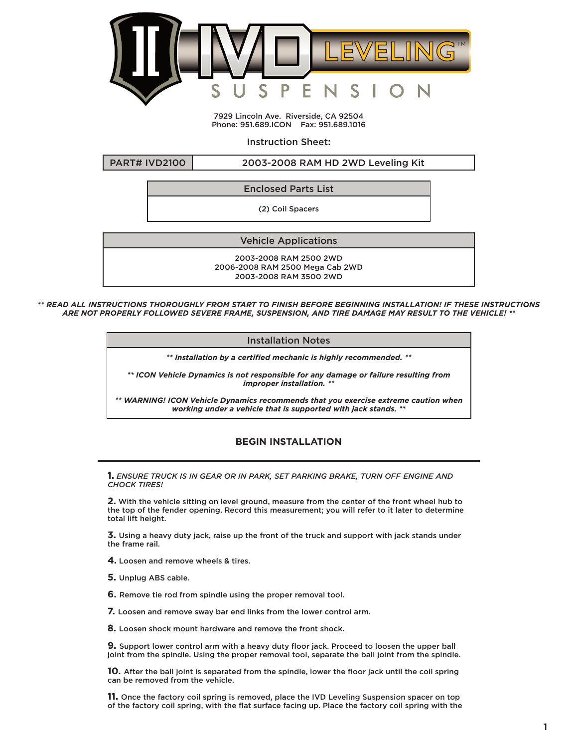

7929 Lincoln Ave. Riverside, CA 92504 Phone: 951.689.ICON Fax: 951.689.1016

Instruction Sheet:

PART# IVD2100 2003-2008 RAM HD 2WD Leveling Kit

Enclosed Parts List

(2) Coil Spacers

Vehicle Applications

2003-2008 RAM 2500 2WD 2006-2008 RAM 2500 Mega Cab 2WD 2003-2008 RAM 3500 2WD

*\*\* READ ALL INSTRUCTIONS THOROUGHLY FROM START TO FINISH BEFORE BEGINNING INSTALLATION! IF THESE INSTRUCTIONS ARE NOT PROPERLY FOLLOWED SEVERE FRAME, SUSPENSION, AND TIRE DAMAGE MAY RESULT TO THE VEHICLE! \*\**

Installation Notes

*\*\* Installation by a certified mechanic is highly recommended. \*\**

*\*\* ICON Vehicle Dynamics is not responsible for any damage or failure resulting from improper installation. \*\**

*\*\* WARNING! ICON Vehicle Dynamics recommends that you exercise extreme caution when working under a vehicle that is supported with jack stands. \*\**

## **BEGIN INSTALLATION**

**1.** *ENSURE TRUCK IS IN GEAR OR IN PARK, SET PARKING BRAKE, TURN OFF ENGINE AND CHOCK TIRES!*

**2.** With the vehicle sitting on level ground, measure from the center of the front wheel hub to the top of the fender opening. Record this measurement; you will refer to it later to determine total lift height.

**3.** Using a heavy duty jack, raise up the front of the truck and support with jack stands under the frame rail.

**4.** Loosen and remove wheels & tires.

**5.** Unplug ABS cable.

**6.** Remove tie rod from spindle using the proper removal tool.

**7.** Loosen and remove sway bar end links from the lower control arm.

**8.** Loosen shock mount hardware and remove the front shock.

**9.** Support lower control arm with a heavy duty floor jack. Proceed to loosen the upper ball joint from the spindle. Using the proper removal tool, separate the ball joint from the spindle.

**10.** After the ball joint is separated from the spindle, lower the floor jack until the coil spring can be removed from the vehicle.

**11.** Once the factory coil spring is removed, place the IVD Leveling Suspension spacer on top of the factory coil spring, with the flat surface facing up. Place the factory coil spring with the